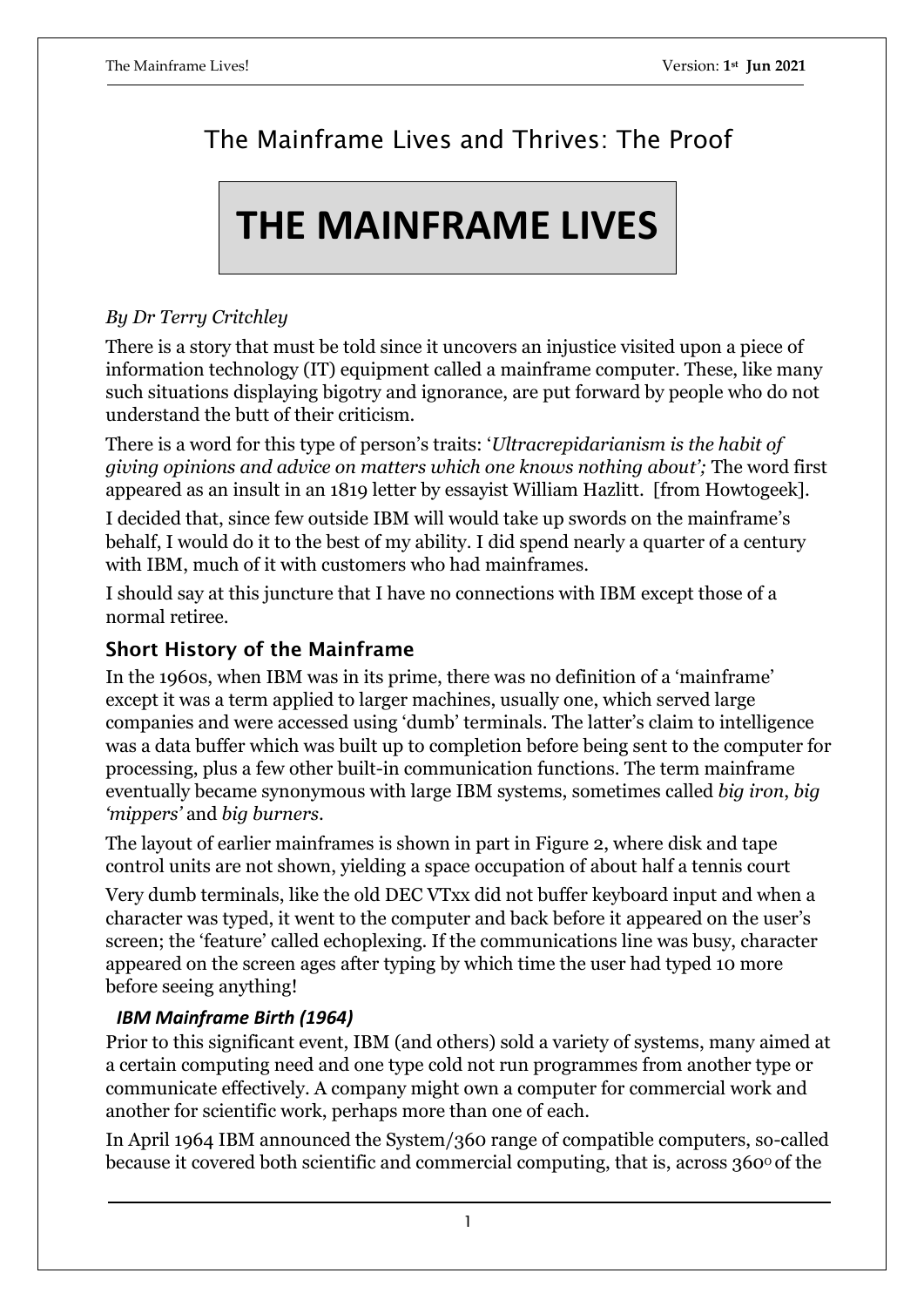# The Mainframe Lives and Thrives: The Proof

# **THE MAINFRAME LIVES**

## *By Dr Terry Critchley*

There is a story that must be told since it uncovers an injustice visited upon a piece of information technology (IT) equipment called a mainframe computer. These, like many such situations displaying bigotry and ignorance, are put forward by people who do not understand the butt of their criticism.

There is a word for this type of person's traits: '*Ultracrepidarianism is the habit of giving opinions and advice on matters which one knows nothing about';* The word first appeared as an insult in an 1819 letter by essayist William Hazlitt. [from Howtogeek].

I decided that, since few outside IBM will would take up swords on the mainframe's behalf, I would do it to the best of my ability. I did spend nearly a quarter of a century with IBM, much of it with customers who had mainframes.

I should say at this juncture that I have no connections with IBM except those of a normal retiree.

## **Short History of the Mainframe**

In the 1960s, when IBM was in its prime, there was no definition of a 'mainframe' except it was a term applied to larger machines, usually one, which served large companies and were accessed using 'dumb' terminals. The latter's claim to intelligence was a data buffer which was built up to completion before being sent to the computer for processing, plus a few other built-in communication functions. The term mainframe eventually became synonymous with large IBM systems, sometimes called *big iron*, *big 'mippers'* and *big burners*.

The layout of earlier mainframes is shown in part in Figure 2, where disk and tape control units are not shown, yielding a space occupation of about half a tennis court

Very dumb terminals, like the old DEC VTxx did not buffer keyboard input and when a character was typed, it went to the computer and back before it appeared on the user's screen; the 'feature' called echoplexing. If the communications line was busy, character appeared on the screen ages after typing by which time the user had typed 10 more before seeing anything!

## *IBM Mainframe Birth (1964)*

Prior to this significant event, IBM (and others) sold a variety of systems, many aimed at a certain computing need and one type cold not run programmes from another type or communicate effectively. A company might own a computer for commercial work and another for scientific work, perhaps more than one of each.

In April 1964 IBM announced the System/360 range of compatible computers, so-called because it covered both scientific and commercial computing, that is, across  $360^{\circ}$  of the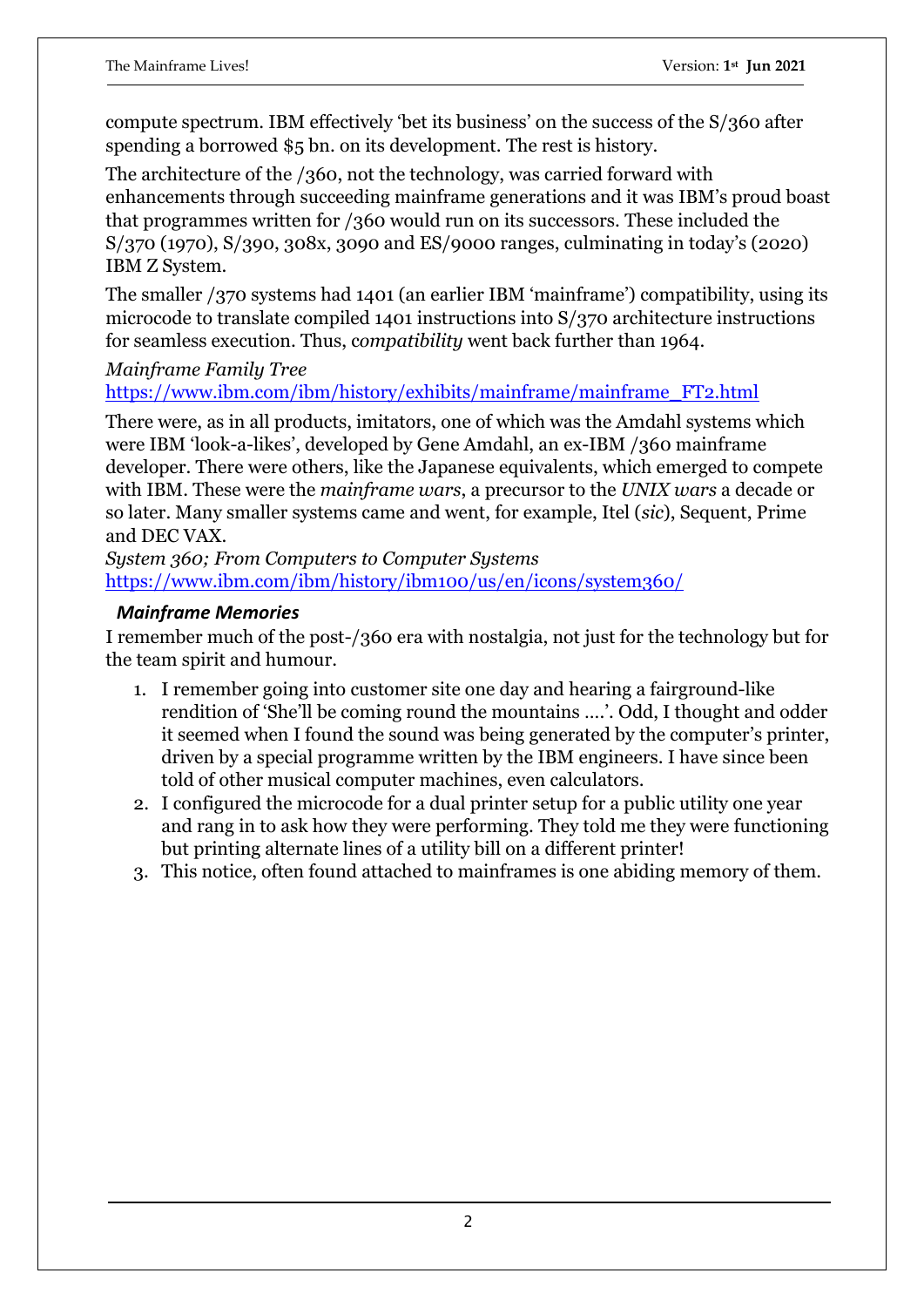compute spectrum. IBM effectively 'bet its business' on the success of the S/360 after spending a borrowed \$5 bn. on its development. The rest is history.

The architecture of the /360, not the technology, was carried forward with enhancements through succeeding mainframe generations and it was IBM's proud boast that programmes written for /360 would run on its successors. These included the S/370 (1970), S/390, 308x, 3090 and ES/9000 ranges, culminating in today's (2020) IBM Z System.

The smaller /370 systems had 1401 (an earlier IBM 'mainframe') compatibility, using its microcode to translate compiled 1401 instructions into S/370 architecture instructions for seamless execution. Thus, c*ompatibility* went back further than 1964.

*Mainframe Family Tree*

[https://www.ibm.com/ibm/history/exhibits/mainframe/mainframe\\_FT2.html](https://www.ibm.com/ibm/history/exhibits/mainframe/mainframe_FT2.html)

There were, as in all products, imitators, one of which was the Amdahl systems which were IBM 'look-a-likes', developed by Gene Amdahl, an ex-IBM /360 mainframe developer. There were others, like the Japanese equivalents, which emerged to compete with IBM. These were the *mainframe wars*, a precursor to the *UNIX wars* a decade or so later. Many smaller systems came and went, for example, Itel (*sic*), Sequent, Prime and DEC VAX.

*System 360; From Computers to Computer Systems* <https://www.ibm.com/ibm/history/ibm100/us/en/icons/system360/>

#### *Mainframe Memories*

I remember much of the post-/360 era with nostalgia, not just for the technology but for the team spirit and humour.

- 1. I remember going into customer site one day and hearing a fairground-like rendition of 'She'll be coming round the mountains ….'. Odd, I thought and odder it seemed when I found the sound was being generated by the computer's printer, driven by a special programme written by the IBM engineers. I have since been told of other musical computer machines, even calculators.
- 2. I configured the microcode for a dual printer setup for a public utility one year and rang in to ask how they were performing. They told me they were functioning but printing alternate lines of a utility bill on a different printer!
- 3. This notice, often found attached to mainframes is one abiding memory of them.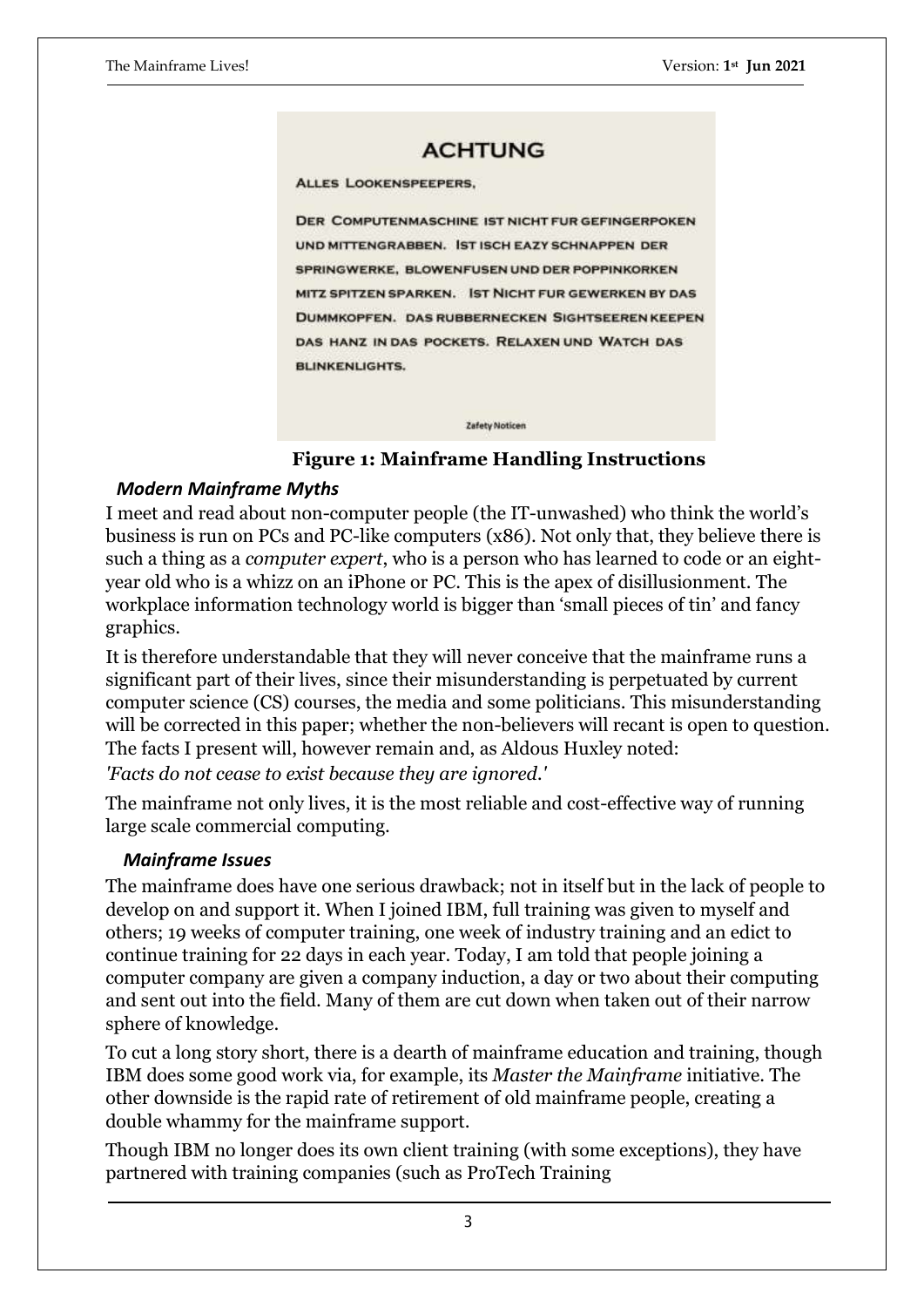#### **ACHTUNG**

**ALLES LOOKENSPEEPERS.** 

**DER COMPUTENMASCHINE IST NICHT FUR GEFINGERPOKEN** UND MITTENGRABBEN. IST ISCH EAZY SCHNAPPEN DER SPRINGWERKE, BLOWENFUSEN UND DER POPPINKORKEN MITZ SPITZEN SPARKEN. IST NICHT FUR GEWERKEN BY DAS **DUMMKOPFEN. DAS RUBBERNECKEN SIGHTSEEREN KEEPEN** DAS HANZ IN DAS POCKETS. RELAXEN UND WATCH DAS **BLINKENLIGHTS.** 

**Zafety Noticen** 

 **Figure 1: Mainframe Handling Instructions**

#### *Modern Mainframe Myths*

I meet and read about non-computer people (the IT-unwashed) who think the world's business is run on PCs and PC-like computers (x86). Not only that, they believe there is such a thing as a *computer expert*, who is a person who has learned to code or an eightyear old who is a whizz on an iPhone or PC. This is the apex of disillusionment. The workplace information technology world is bigger than 'small pieces of tin' and fancy graphics.

It is therefore understandable that they will never conceive that the mainframe runs a significant part of their lives, since their misunderstanding is perpetuated by current computer science (CS) courses, the media and some politicians. This misunderstanding will be corrected in this paper; whether the non-believers will recant is open to question. The facts I present will, however remain and, as Aldous Huxley noted:

*'Facts do not cease to exist because they are ignored.'*

The mainframe not only lives, it is the most reliable and cost-effective way of running large scale commercial computing.

#### *Mainframe Issues*

The mainframe does have one serious drawback; not in itself but in the lack of people to develop on and support it. When I joined IBM, full training was given to myself and others; 19 weeks of computer training, one week of industry training and an edict to continue training for 22 days in each year. Today, I am told that people joining a computer company are given a company induction, a day or two about their computing and sent out into the field. Many of them are cut down when taken out of their narrow sphere of knowledge.

To cut a long story short, there is a dearth of mainframe education and training, though IBM does some good work via, for example, its *Master the Mainframe* initiative. The other downside is the rapid rate of retirement of old mainframe people, creating a double whammy for the mainframe support.

Though IBM no longer does its own client training (with some exceptions), they have partnered with training companies (such as ProTech Training

3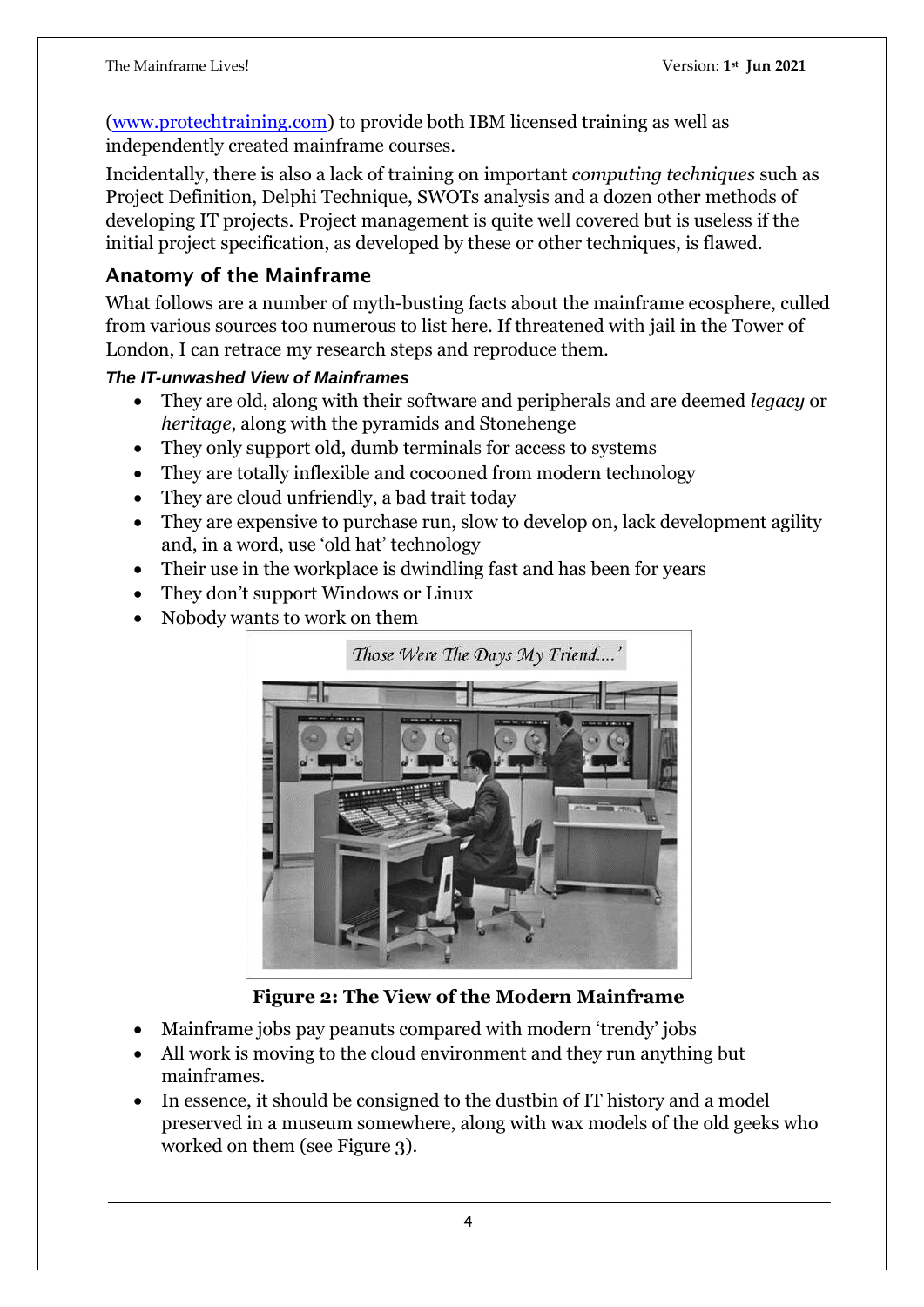[\(www.protechtraining.com\)](http://www.protechtraining.com/) to provide both IBM licensed training as well as independently created mainframe courses.

Incidentally, there is also a lack of training on important *computing techniques* such as Project Definition, Delphi Technique, SWOTs analysis and a dozen other methods of developing IT projects. Project management is quite well covered but is useless if the initial project specification, as developed by these or other techniques, is flawed.

## **Anatomy of the Mainframe**

What follows are a number of myth-busting facts about the mainframe ecosphere, culled from various sources too numerous to list here. If threatened with jail in the Tower of London, I can retrace my research steps and reproduce them.

## *The IT-unwashed View of Mainframes*

- They are old, along with their software and peripherals and are deemed *legacy* or *heritage*, along with the pyramids and Stonehenge
- They only support old, dumb terminals for access to systems
- They are totally inflexible and cocooned from modern technology
- They are cloud unfriendly, a bad trait today
- They are expensive to purchase run, slow to develop on, lack development agility and, in a word, use 'old hat' technology
- Their use in the workplace is dwindling fast and has been for years
- They don't support Windows or Linux
- Nobody wants to work on them



**Figure 2: The View of the Modern Mainframe**

- Mainframe jobs pay peanuts compared with modern 'trendy' jobs
- All work is moving to the cloud environment and they run anything but mainframes.
- In essence, it should be consigned to the dustbin of IT history and a model preserved in a museum somewhere, along with wax models of the old geeks who worked on them (see Figure 3).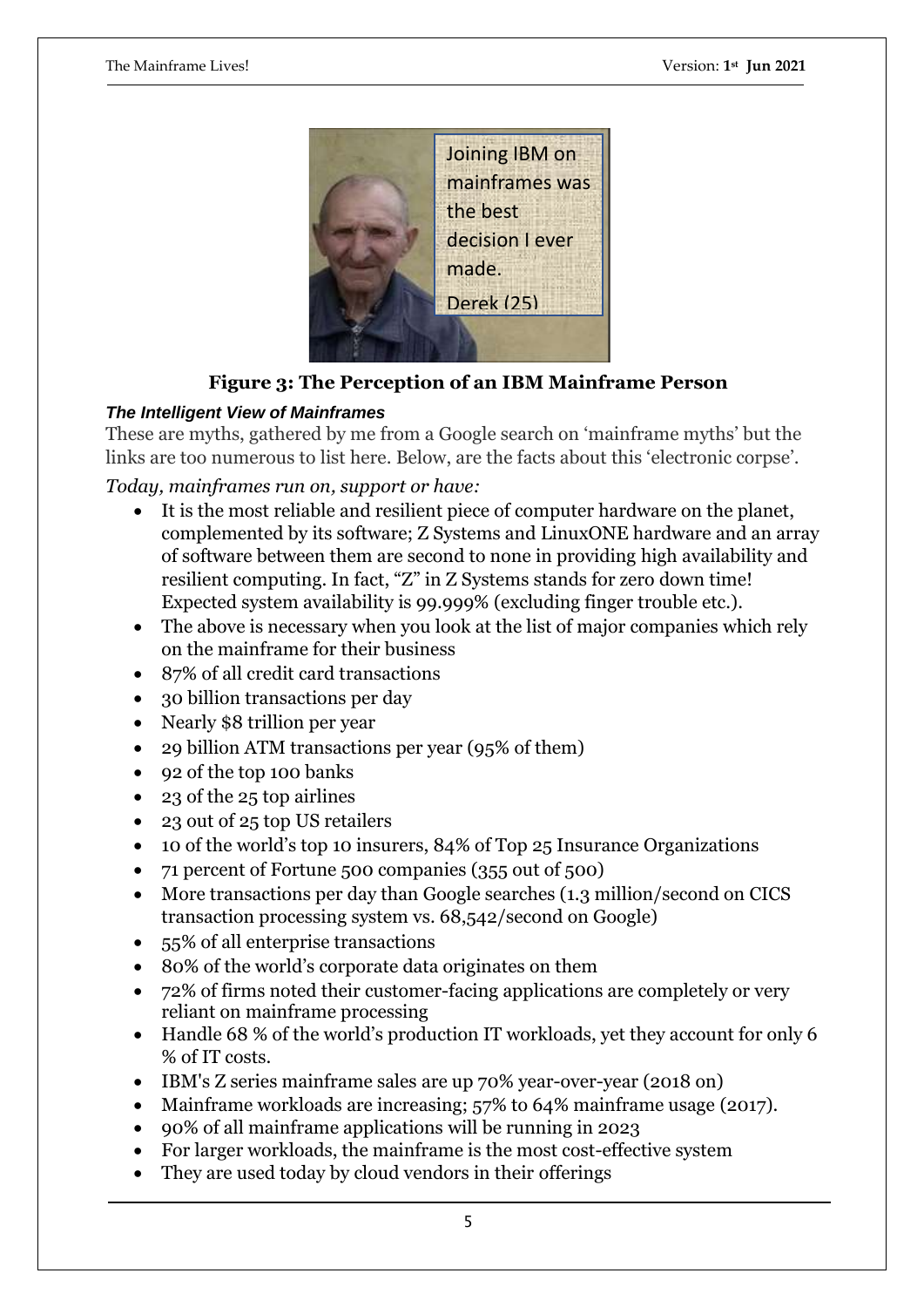

**Figure 3: The Perception of an IBM Mainframe Person**

#### *The Intelligent View of Mainframes*

These are myths, gathered by me from a Google search on 'mainframe myths' but the links are too numerous to list here. Below, are the facts about this 'electronic corpse'.

*Today, mainframes run on, support or have:*

- It is the most reliable and resilient piece of computer hardware on the planet, complemented by its software; Z Systems and LinuxONE hardware and an array of software between them are second to none in providing high availability and resilient computing. In fact, "Z" in Z Systems stands for zero down time! Expected system availability is 99.999% (excluding finger trouble etc.).
- The above is necessary when you look at the list of major companies which rely on the mainframe for their business
- 87% of all credit card transactions
- 30 billion transactions per day
- Nearly \$8 trillion per year
- 29 billion ATM transactions per year (95% of them)
- 92 of the top 100 banks
- 23 of the 25 top airlines
- 23 out of 25 top US retailers
- 10 of the world's top 10 insurers, 84% of Top 25 Insurance Organizations
- 71 percent of Fortune 500 companies (355 out of 500)
- More transactions per day than Google searches (1.3 million/second on CICS transaction processing system vs. 68,542/second on Google)
- 55% of all enterprise transactions
- 80% of the world's corporate data originates on them
- 72% of firms noted their customer-facing applications are completely or very reliant on mainframe processing
- Handle 68 % of the world's production IT workloads, yet they account for only 6 % of IT costs.
- IBM's [Z series mainframe sales](https://www.datacenterknowledge.com/hardware/why-mainframes-arent-going-away-any-time-soon) are up 70% year-over-year (2018 on)
- [Mainframe workloads are increasing;](https://resources.compuware.com/forrester_mainframe_workloads_increasing_staff_losses_unfilled) 57% to 64% mainframe usage (2017).
- 90% of all mainframe applications will be running in 2023
- For larger workloads, the mainframe is the most cost-effective system
- They are used today by cloud vendors in their offerings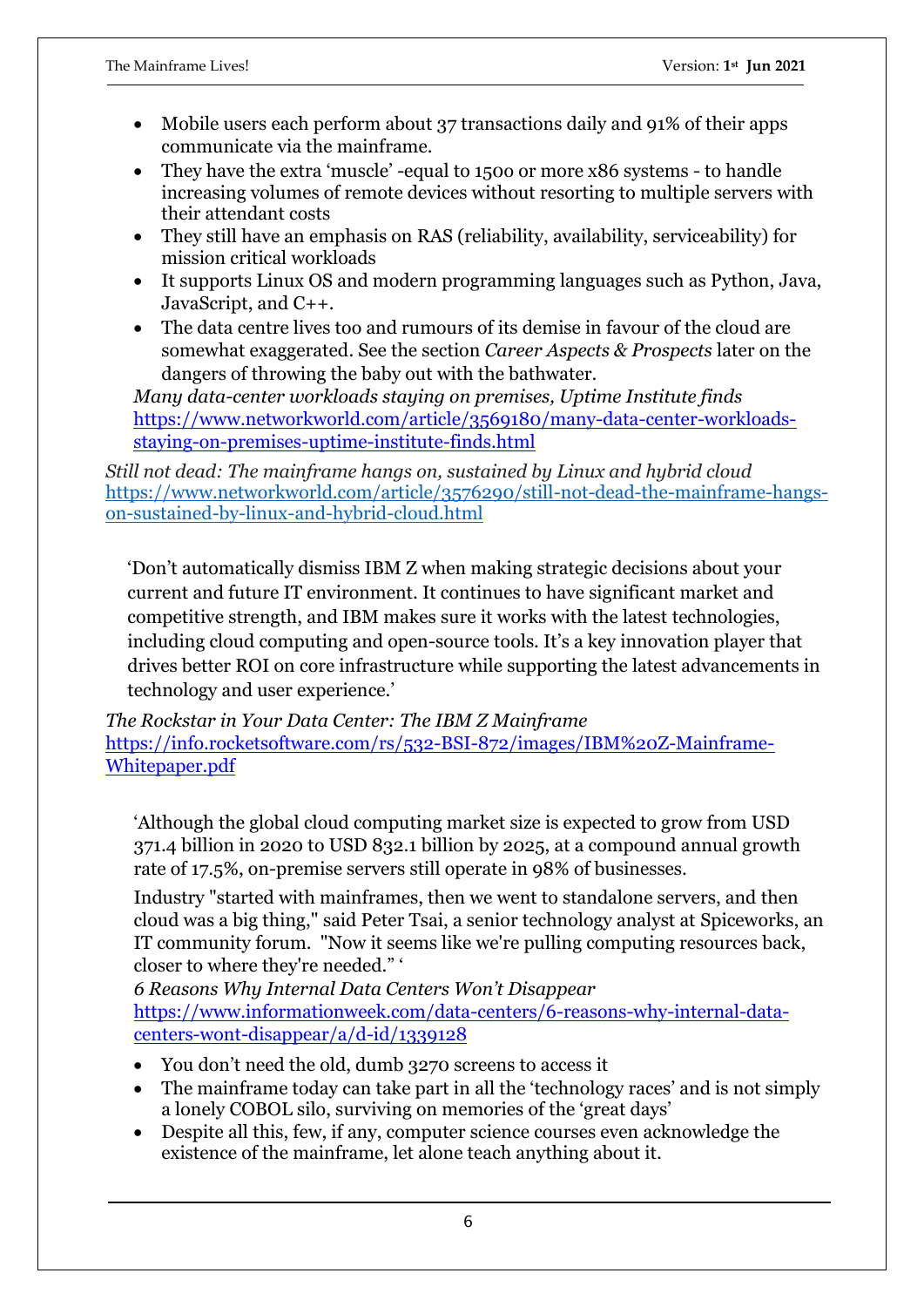- Mobile users each perform about 37 transactions daily and 91% of their apps communicate via the mainframe.
- They have the extra 'muscle' -equal to 1500 or more x86 systems to handle increasing volumes of remote devices without resorting to multiple servers with their attendant costs
- They still have an emphasis on RAS (reliability, availability, serviceability) for mission critical workloads
- It supports Linux OS and modern programming languages such as Python, Java, JavaScript, and C++.
- The data centre lives too and rumours of its demise in favour of the cloud are somewhat exaggerated. See the section *Career Aspects & Prospects* later on the dangers of throwing the baby out with the bathwater.

*Many data-center workloads staying on premises, Uptime Institute finds* [https://www.networkworld.com/article/3569180/many-data-center-workloads](https://www.networkworld.com/article/3569180/many-data-center-workloads-staying-on-premises-uptime-institute-finds.html)[staying-on-premises-uptime-institute-finds.html](https://www.networkworld.com/article/3569180/many-data-center-workloads-staying-on-premises-uptime-institute-finds.html)

*Still not dead: The mainframe hangs on, sustained by Linux and hybrid cloud* [https://www.networkworld.com/article/3576290/still-not-dead-the-mainframe-hangs](https://www.networkworld.com/article/3576290/still-not-dead-the-mainframe-hangs-on-sustained-by-linux-and-hybrid-cloud.html)[on-sustained-by-linux-and-hybrid-cloud.html](https://www.networkworld.com/article/3576290/still-not-dead-the-mainframe-hangs-on-sustained-by-linux-and-hybrid-cloud.html)

'Don't automatically dismiss IBM Z when making strategic decisions about your current and future IT environment. It continues to have significant market and competitive strength, and IBM makes sure it works with the latest technologies, including cloud computing and open-source tools. It's a key innovation player that drives better ROI on core infrastructure while supporting the latest advancements in technology and user experience.'

*The Rockstar in Your Data Center: The IBM Z Mainframe* [https://info.rocketsoftware.com/rs/532-BSI-872/images/IBM%20Z-Mainframe-](https://info.rocketsoftware.com/rs/532-BSI-872/images/IBM%20Z-Mainframe-Whitepaper.pdf)[Whitepaper.pdf](https://info.rocketsoftware.com/rs/532-BSI-872/images/IBM%20Z-Mainframe-Whitepaper.pdf)

'Although the global [cloud computing market size](https://www.marketsandmarkets.com/Market-Reports/cloud-computing-market-234.html#:~:text=cloud%20computing%20market%3F-,The%20global%20cloud%20computing%20market%20size%20is%20expected%20to%20grow,17.5%25%20during%20the%20forecast%20period) is expected to grow from USD 371.4 billion in 2020 to USD 832.1 billion by 2025, at a compound annual growth rate of 17.5%, on-premise servers still operate in 98% of businesses.

Industry "started with mainframes, then we went to standalone servers, and then cloud was a big thing," said Peter Tsai, a senior technology analyst at [Spiceworks,](https://www.spiceworks.com/) an IT community forum. "Now it seems like we're [pulling computing resources back,](https://www.ciodive.com/news/on-premise-servers-persist-in-98-of-businesses-even-with-cloud-hype/549643/) closer to where they're needed." '

*6 Reasons Why Internal Data Centers Won't Disappear* [https://www.informationweek.com/data-centers/6-reasons-why-internal-data](https://www.informationweek.com/data-centers/6-reasons-why-internal-data-centers-wont-disappear/a/d-id/1339128)[centers-wont-disappear/a/d-id/1339128](https://www.informationweek.com/data-centers/6-reasons-why-internal-data-centers-wont-disappear/a/d-id/1339128)

- You don't need the old, dumb 3270 screens to access it
- The mainframe today can take part in all the 'technology races' and is not simply a lonely COBOL silo, surviving on memories of the 'great days'
- Despite all this, few, if any, computer science courses even acknowledge the existence of the mainframe, let alone teach anything about it.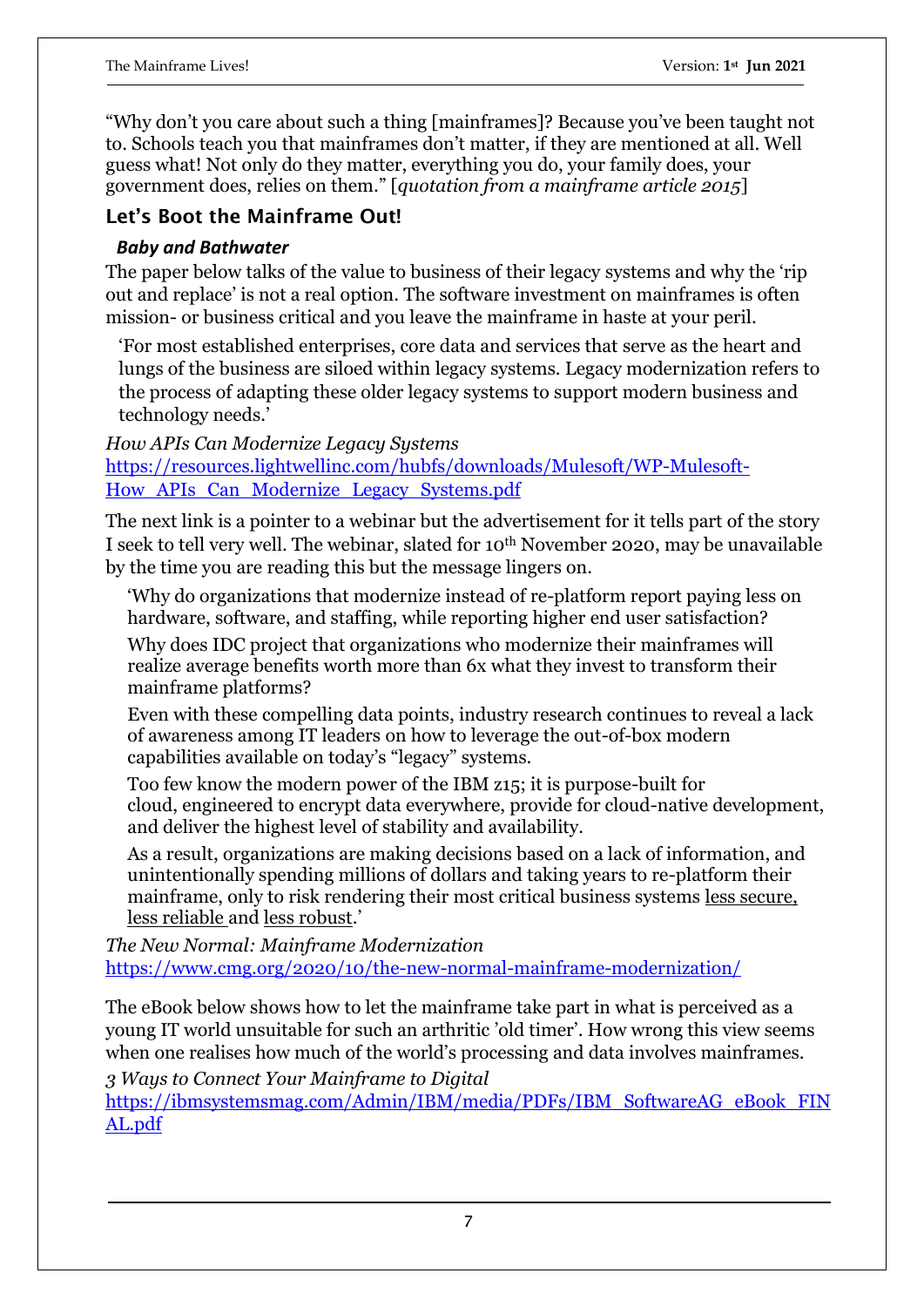"Why don't you care about such a thing [mainframes]? Because you've been taught not to. Schools teach you that mainframes don't matter, if they are mentioned at all. Well guess what! Not only do they matter, everything you do, your family does, your government does, relies on them." [*quotation from a mainframe article 2015*]

## **Let's Boot the Mainframe Out!**

#### *Baby and Bathwater*

The paper below talks of the value to business of their legacy systems and why the 'rip out and replace' is not a real option. The software investment on mainframes is often mission- or business critical and you leave the mainframe in haste at your peril.

'For most established enterprises, core data and services that serve as the heart and lungs of the business are siloed within legacy systems. Legacy modernization refers to the process of adapting these older legacy systems to support modern business and technology needs.'

*How APIs Can Modernize Legacy Systems* [https://resources.lightwellinc.com/hubfs/downloads/Mulesoft/WP-Mulesoft-](https://resources.lightwellinc.com/hubfs/downloads/Mulesoft/WP-Mulesoft-How_APIs_Can_Modernize_Legacy_Systems.pdf)[How\\_APIs\\_Can\\_Modernize\\_Legacy\\_Systems.pdf](https://resources.lightwellinc.com/hubfs/downloads/Mulesoft/WP-Mulesoft-How_APIs_Can_Modernize_Legacy_Systems.pdf)

The next link is a pointer to a webinar but the advertisement for it tells part of the story I seek to tell very well. The webinar, slated for 10th November 2020, may be unavailable by the time you are reading this but the message lingers on.

'Why do organizations that modernize instead of re-platform report paying less on hardware, software, and staffing, while reporting higher end user satisfaction?

Why does IDC project that organizations who modernize their mainframes will realize average benefits worth more than 6x what they invest to transform their mainframe platforms?

Even with these compelling data points, industry research continues to reveal a lack of awareness among IT leaders on how to leverage the out-of-box modern capabilities available on today's "legacy" systems.

Too few know the modern power of the IBM z15; it is purpose-built for cloud, engineered to encrypt data everywhere, provide for cloud-native development, and deliver the highest level of stability and availability.

As a result, organizations are making decisions based on a lack of information, and unintentionally spending millions of dollars and taking years to re-platform their mainframe, only to risk rendering their most critical business systems less secure, less reliable and less robust.'

*The New Normal: Mainframe Modernization* <https://www.cmg.org/2020/10/the-new-normal-mainframe-modernization/>

The eBook below shows how to let the mainframe take part in what is perceived as a young IT world unsuitable for such an arthritic 'old timer'. How wrong this view seems when one realises how much of the world's processing and data involves mainframes.

*3 Ways to Connect Your Mainframe to Digital*

[https://ibmsystemsmag.com/Admin/IBM/media/PDFs/IBM\\_SoftwareAG\\_eBook\\_FIN](https://ibmsystemsmag.com/Admin/IBM/media/PDFs/IBM_SoftwareAG_eBook_FINAL.pdf) [AL.pdf](https://ibmsystemsmag.com/Admin/IBM/media/PDFs/IBM_SoftwareAG_eBook_FINAL.pdf)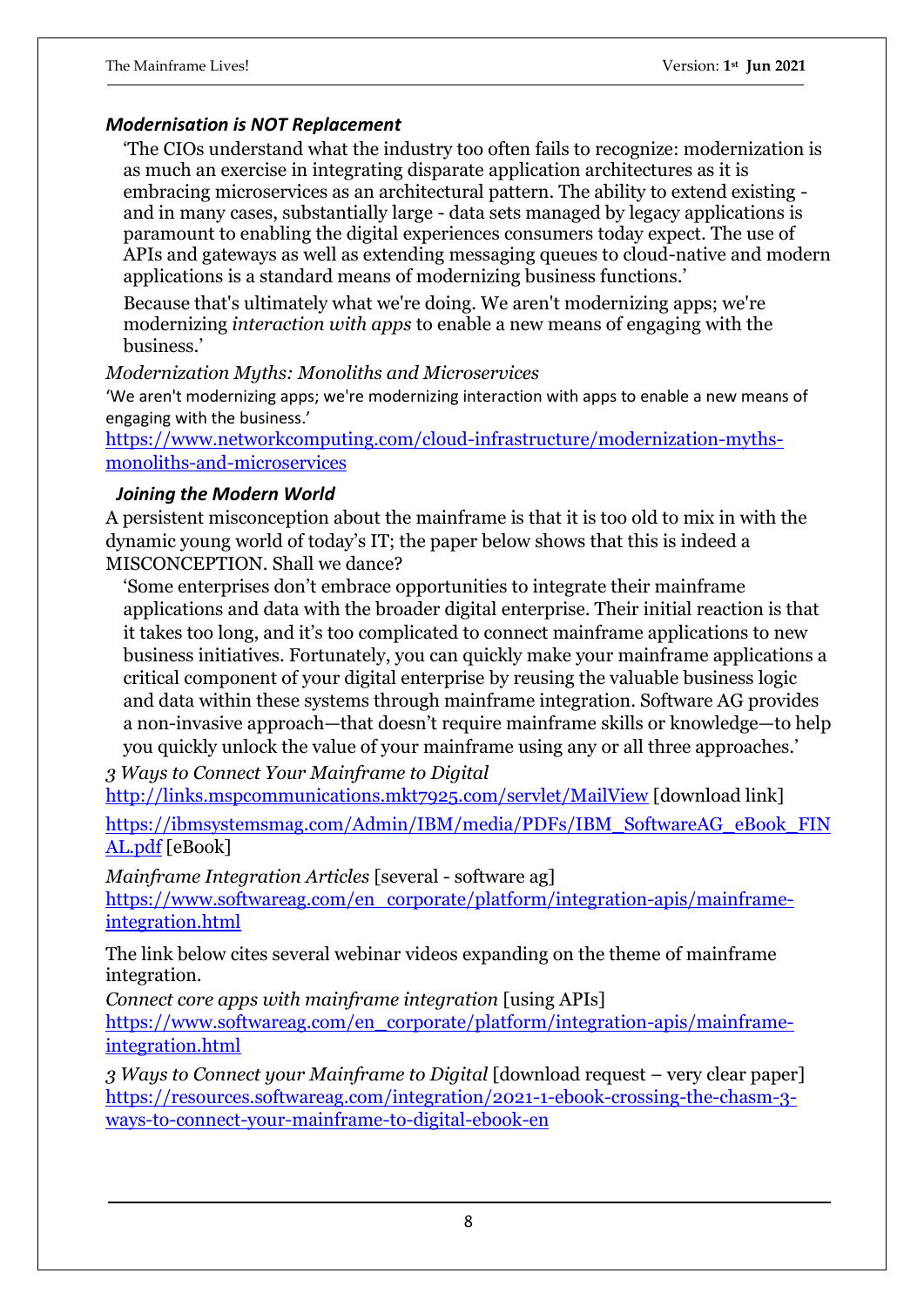#### *Modernisation is NOT Replacement*

'The CIOs understand what the industry too often fails to recognize: modernization is as much an exercise in integrating disparate application architectures as it is embracing microservices as an architectural pattern. The ability to extend existing and in many cases, substantially large - data sets managed by legacy applications is paramount to enabling the digital experiences consumers today expect. The use of APIs and gateways as well as extending messaging queues to cloud-native and modern applications is a standard means of modernizing business functions.'

Because that's ultimately what we're doing. We aren't modernizing apps; we're modernizing *interaction with apps* to enable a new means of engaging with the business.'

#### *Modernization Myths: Monoliths and Microservices*

'We aren't modernizing apps; we're modernizing interaction with apps to enable a new means of engaging with the business.'

[https://www.networkcomputing.com/cloud-infrastructure/modernization-myths](https://www.networkcomputing.com/cloud-infrastructure/modernization-myths-monoliths-and-microservices)[monoliths-and-microservices](https://www.networkcomputing.com/cloud-infrastructure/modernization-myths-monoliths-and-microservices)

#### *Joining the Modern World*

A persistent misconception about the mainframe is that it is too old to mix in with the dynamic young world of today's IT; the paper below shows that this is indeed a MISCONCEPTION. Shall we dance?

'Some enterprises don't embrace opportunities to integrate their mainframe applications and data with the broader digital enterprise. Their initial reaction is that it takes too long, and it's too complicated to connect mainframe applications to new business initiatives. Fortunately, you can quickly make your mainframe applications a critical component of your digital enterprise by reusing the valuable business logic and data within these systems through mainframe integration. Software AG provides a non-invasive approach—that doesn't require mainframe skills or knowledge—to help you quickly unlock the value of your mainframe using any or all three approaches.'

*3 Ways to Connect Your Mainframe to Digital*

<http://links.mspcommunications.mkt7925.com/servlet/MailView> [download link] [https://ibmsystemsmag.com/Admin/IBM/media/PDFs/IBM\\_SoftwareAG\\_eBook\\_FIN](https://ibmsystemsmag.com/Admin/IBM/media/PDFs/IBM_SoftwareAG_eBook_FINAL.pdf) [AL.pdf](https://ibmsystemsmag.com/Admin/IBM/media/PDFs/IBM_SoftwareAG_eBook_FINAL.pdf) [eBook]

*Mainframe Integration Articles* [several - software ag]

[https://www.softwareag.com/en\\_corporate/platform/integration-apis/mainframe](https://www.softwareag.com/en_corporate/platform/integration-apis/mainframe-integration.html)[integration.html](https://www.softwareag.com/en_corporate/platform/integration-apis/mainframe-integration.html) 

The link below cites several webinar videos expanding on the theme of mainframe integration.

*Connect core apps with mainframe integration* [using APIs]

[https://www.softwareag.com/en\\_corporate/platform/integration-apis/mainframe](https://www.softwareag.com/en_corporate/platform/integration-apis/mainframe-integration.html)[integration.html](https://www.softwareag.com/en_corporate/platform/integration-apis/mainframe-integration.html)

*3 Ways to Connect your Mainframe to Digital* [download request – very clear paper] [https://resources.softwareag.com/integration/2021-1-ebook-crossing-the-chasm-3](https://resources.softwareag.com/integration/2021-1-ebook-crossing-the-chasm-3-ways-to-connect-your-mainframe-to-digital-ebook-en) [ways-to-connect-your-mainframe-to-digital-ebook-en](https://resources.softwareag.com/integration/2021-1-ebook-crossing-the-chasm-3-ways-to-connect-your-mainframe-to-digital-ebook-en)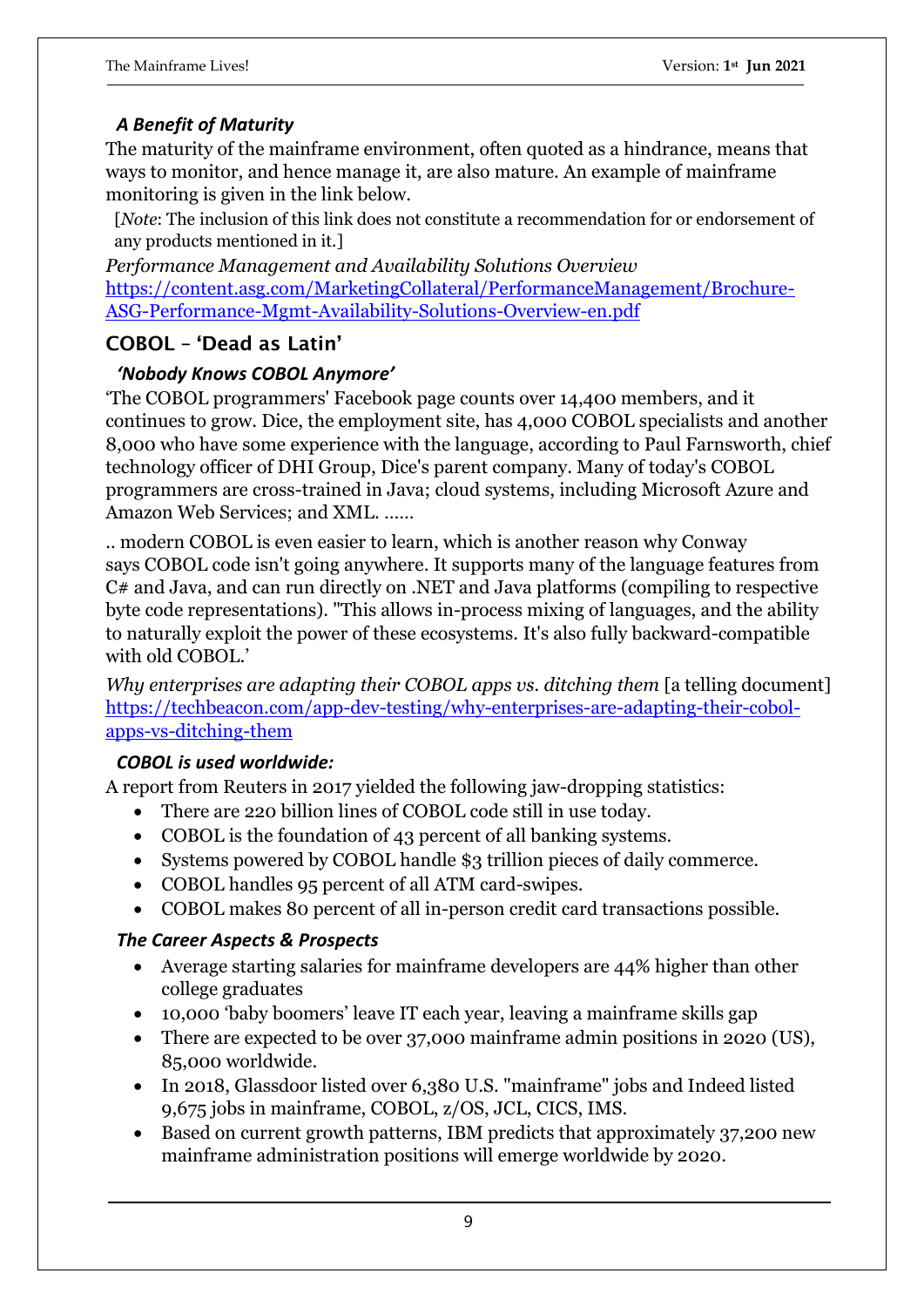#### *A Benefit of Maturity*

The maturity of the mainframe environment, often quoted as a hindrance, means that ways to monitor, and hence manage it, are also mature. An example of mainframe monitoring is given in the link below.

[*Note*: The inclusion of this link does not constitute a recommendation for or endorsement of any products mentioned in it.]

*Performance Management and Availability Solutions Overview* [https://content.asg.com/MarketingCollateral/PerformanceManagement/Brochure-](https://content.asg.com/MarketingCollateral/PerformanceManagement/Brochure-ASG-Performance-Mgmt-Availability-Solutions-Overview-en.pdf)[ASG-Performance-Mgmt-Availability-Solutions-Overview-en.pdf](https://content.asg.com/MarketingCollateral/PerformanceManagement/Brochure-ASG-Performance-Mgmt-Availability-Solutions-Overview-en.pdf)

## **COBOL – 'Dead as Latin'**

#### *'Nobody Knows COBOL Anymore'*

'The [COBOL programmers' Facebook page](https://www.facebook.com/groups/COBOLProgrammers) counts over 14,400 members, and it continues to grow. Dice, the employment site, has 4,000 COBOL specialists and another 8,000 who have some experience with the language, according to Paul Farnsworth, chief technology officer of DHI Group, Dice's parent company. Many of today's COBOL programmers are cross-trained in Java; cloud systems, including Microsoft Azure and Amazon Web Services; and XML. ……

.. modern COBOL is even easier to learn, which is another reason why Conway says [COBOL code isn't going anywhere.](https://techbeacon.com/app-dev-testing/why-your-cobol-code-isnt-going-anywhere) It supports many of the language features from C# and Java, and can run directly on .NET and Java platforms (compiling to respective byte code representations). "This allows in-process mixing of languages, and the ability to naturally exploit the power of these ecosystems. It's also fully backward-compatible with old COBOL.'

*Why enterprises are adapting their COBOL apps vs. ditching them* [a telling document] [https://techbeacon.com/app-dev-testing/why-enterprises-are-adapting-their-cobol](https://techbeacon.com/app-dev-testing/why-enterprises-are-adapting-their-cobol-apps-vs-ditching-them)[apps-vs-ditching-them](https://techbeacon.com/app-dev-testing/why-enterprises-are-adapting-their-cobol-apps-vs-ditching-them)

#### *COBOL is used worldwide:*

A [report from](http://fingfx.thomsonreuters.com/gfx/rngs/USA-BANKS-COBOL/010040KH18J/) Reuters in 2017 yielded the following jaw-dropping statistics:

- There are 220 billion lines of COBOL code still in use today.
- COBOL is the foundation of 43 percent of all banking systems.
- Systems powered by COBOL handle \$3 trillion pieces of daily commerce.
- COBOL handles 95 percent of all ATM card-swipes.
- COBOL makes 80 percent of all in-person credit card transactions possible.

## *The Career Aspects & Prospects*

- Average starting salaries for mainframe developers are 44% higher than other college graduates
- 10,000 'baby boomers' leave IT each year, leaving a mainframe skills gap
- There are expected to be over 37,000 mainframe admin positions in 2020 (US), 85,000 worldwide.
- In 2018, Glassdoor listed over 6,380 U.S. "mainframe" jobs and Indeed listed 9,675 jobs in mainframe, COBOL, z/OS, JCL, CICS, IMS.
- Based on current growth patterns, IBM predicts that approximately 37,200 new mainframe administration positions will emerge worldwide by 2020.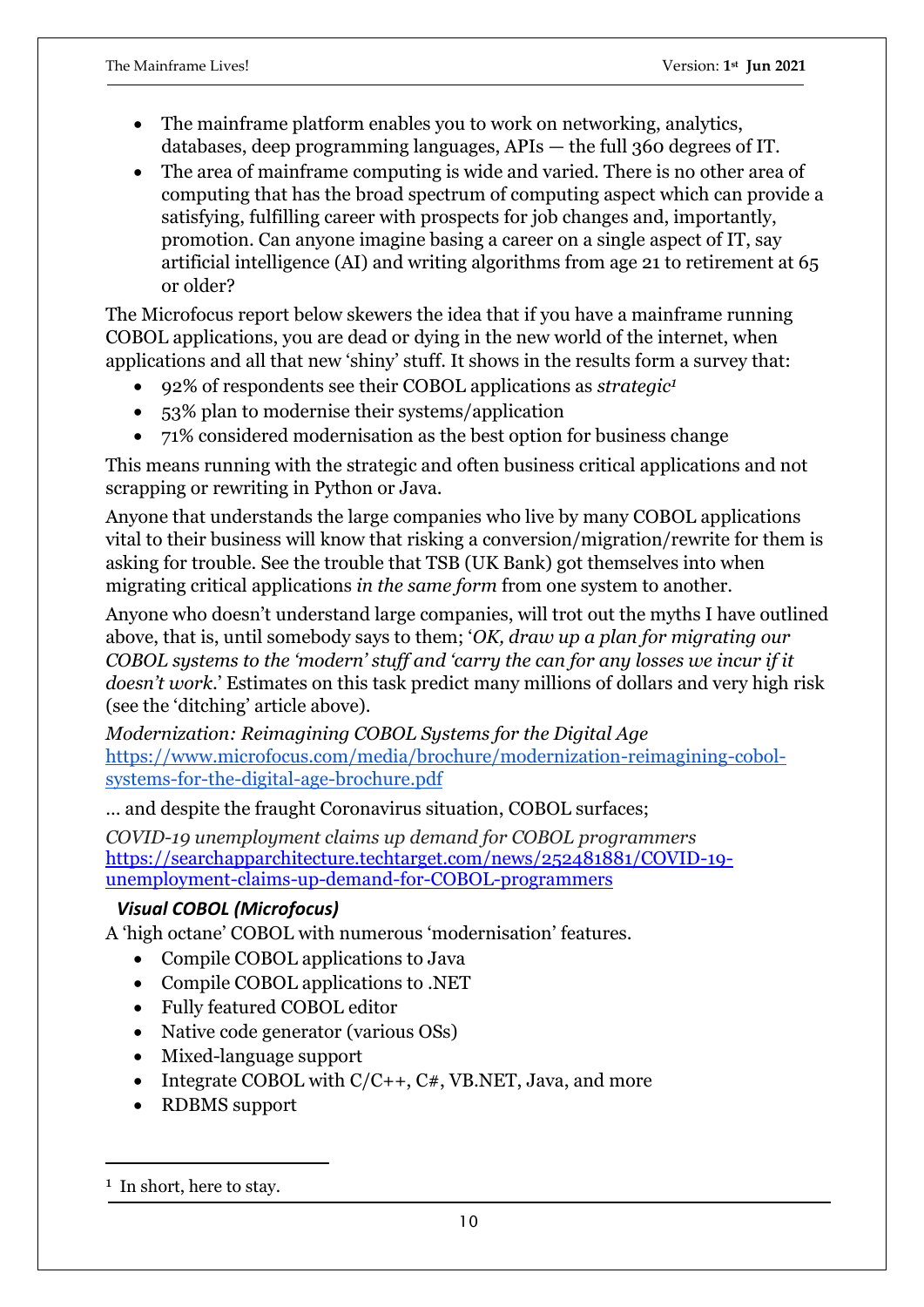- The mainframe platform enables you to work on networking, analytics, databases, deep programming languages, APIs — the full 360 degrees of IT.
- The area of mainframe computing is wide and varied. There is no other area of computing that has the broad spectrum of computing aspect which can provide a satisfying, fulfilling career with prospects for job changes and, importantly, promotion. Can anyone imagine basing a career on a single aspect of IT, say artificial intelligence (AI) and writing algorithms from age 21 to retirement at 65 or older?

The Microfocus report below skewers the idea that if you have a mainframe running COBOL applications, you are dead or dying in the new world of the internet, when applications and all that new 'shiny' stuff. It shows in the results form a survey that:

- 92% of respondents see their COBOL applications as *strategic<sup>1</sup>*
- 53% plan to modernise their systems/application
- 71% considered modernisation as the best option for business change

This means running with the strategic and often business critical applications and not scrapping or rewriting in Python or Java.

Anyone that understands the large companies who live by many COBOL applications vital to their business will know that risking a conversion/migration/rewrite for them is asking for trouble. See the trouble that TSB (UK Bank) got themselves into when migrating critical applications *in the same form* from one system to another.

Anyone who doesn't understand large companies, will trot out the myths I have outlined above, that is, until somebody says to them; '*OK, draw up a plan for migrating our COBOL systems to the 'modern' stuff and 'carry the can for any losses we incur if it doesn't work*.' Estimates on this task predict many millions of dollars and very high risk (see the 'ditching' article above).

*Modernization: Reimagining COBOL Systems for the Digital Age* [https://www.microfocus.com/media/brochure/modernization-reimagining-cobol](https://www.microfocus.com/media/brochure/modernization-reimagining-cobol-systems-for-the-digital-age-brochure.pdf)[systems-for-the-digital-age-brochure.pdf](https://www.microfocus.com/media/brochure/modernization-reimagining-cobol-systems-for-the-digital-age-brochure.pdf)

… and despite the fraught Coronavirus situation, COBOL surfaces;

*COVID-19 unemployment claims up demand for COBOL programmers* [https://searchapparchitecture.techtarget.com/news/252481881/COVID-19](https://searchapparchitecture.techtarget.com/news/252481881/COVID-19-unemployment-claims-up-demand-for-COBOL-programmers) [unemployment-claims-up-demand-for-COBOL-programmers](https://searchapparchitecture.techtarget.com/news/252481881/COVID-19-unemployment-claims-up-demand-for-COBOL-programmers)

#### *Visual COBOL (Microfocus)*

A 'high octane' COBOL with numerous 'modernisation' features.

- Compile COBOL applications to Java
- Compile COBOL applications to .NET
- Fully featured COBOL editor
- Native code generator (various OSs)
- Mixed-language support
- Integrate COBOL with  $C/C_{++}$ ,  $C_{+}$ , VB.NET, Java, and more
- RDBMS support

<sup>&</sup>lt;sup>1</sup> In short, here to stay.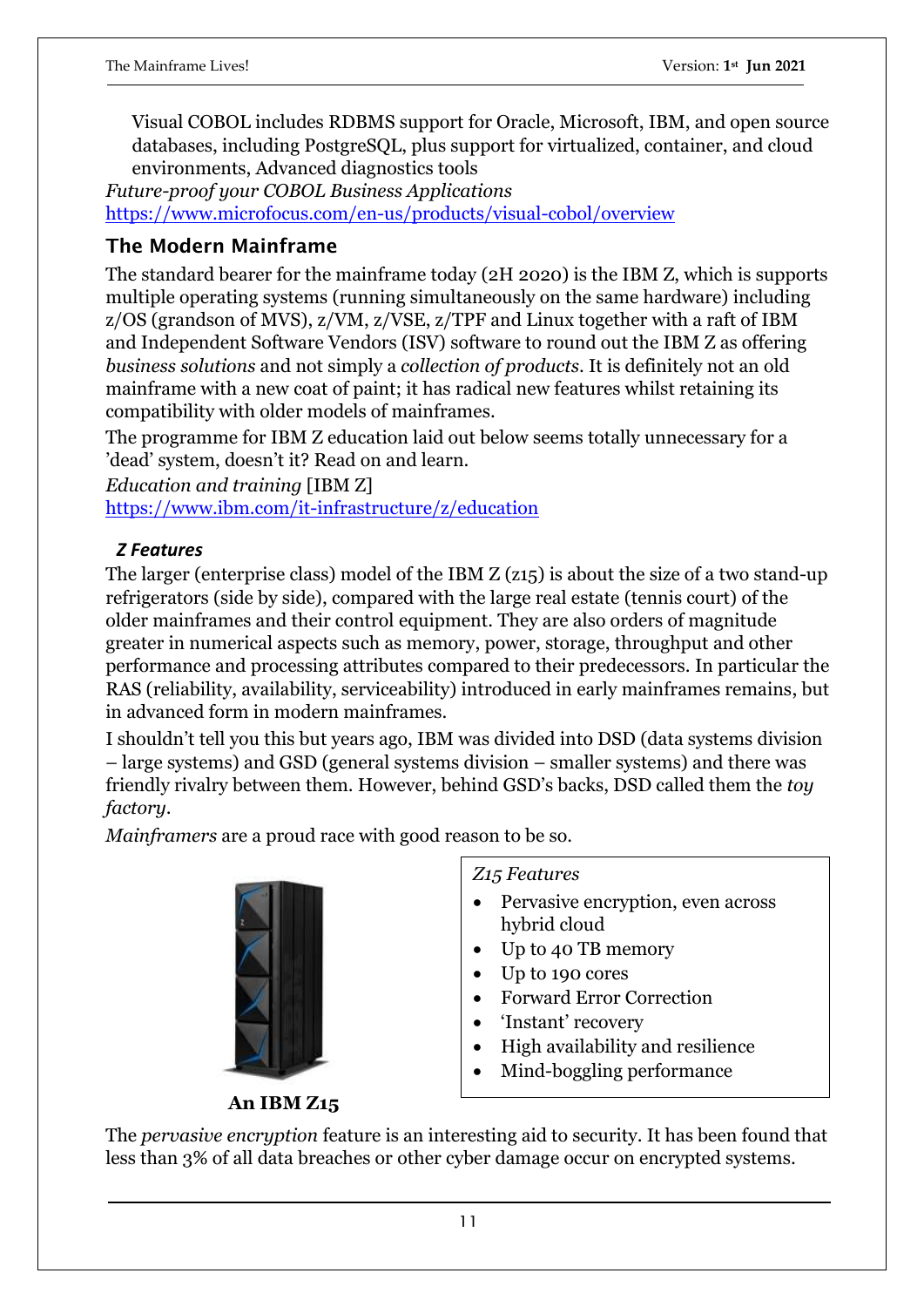Visual COBOL includes RDBMS support for Oracle, Microsoft, IBM, and open source databases, including PostgreSQL, plus support for virtualized, container, and cloud environments, Advanced diagnostics tools

*Future-proof your COBOL Business Applications* <https://www.microfocus.com/en-us/products/visual-cobol/overview>

## **The Modern Mainframe**

The standard bearer for the mainframe today (2H 2020) is the IBM Z, which is supports multiple operating systems (running simultaneously on the same hardware) including z/OS (grandson of MVS), z/VM, z/VSE, z/TPF and Linux together with a raft of IBM and Independent Software Vendors (ISV) software to round out the IBM Z as offering *business solutions* and not simply a *collection of products*. It is definitely not an old mainframe with a new coat of paint; it has radical new features whilst retaining its compatibility with older models of mainframes.

The programme for IBM Z education laid out below seems totally unnecessary for a 'dead' system, doesn't it? Read on and learn.

*Education and training* [IBM Z]

<https://www.ibm.com/it-infrastructure/z/education>

## *Z Features*

The larger (enterprise class) model of the IBM Z (z15) is about the size of a two stand-up refrigerators (side by side), compared with the large real estate (tennis court) of the older mainframes and their control equipment. They are also orders of magnitude greater in numerical aspects such as memory, power, storage, throughput and other performance and processing attributes compared to their predecessors. In particular the RAS (reliability, availability, serviceability) introduced in early mainframes remains, but in advanced form in modern mainframes.

I shouldn't tell you this but years ago, IBM was divided into DSD (data systems division – large systems) and GSD (general systems division – smaller systems) and there was friendly rivalry between them. However, behind GSD's backs, DSD called them the *toy factory*.

*Mainframers* are a proud race with good reason to be so.



 **An IBM Z15**

*Z15 Features*

- Pervasive encryption, even across hybrid cloud
- Up to 40 TB memory
- Up to 190 cores
- Forward Error Correction
- 'Instant' recovery
- High availability and resilience
- Mind-boggling performance

The *pervasive encryption* feature is an interesting aid to security. It has been found that less than 3% of all data breaches or other cyber damage occur on encrypted systems.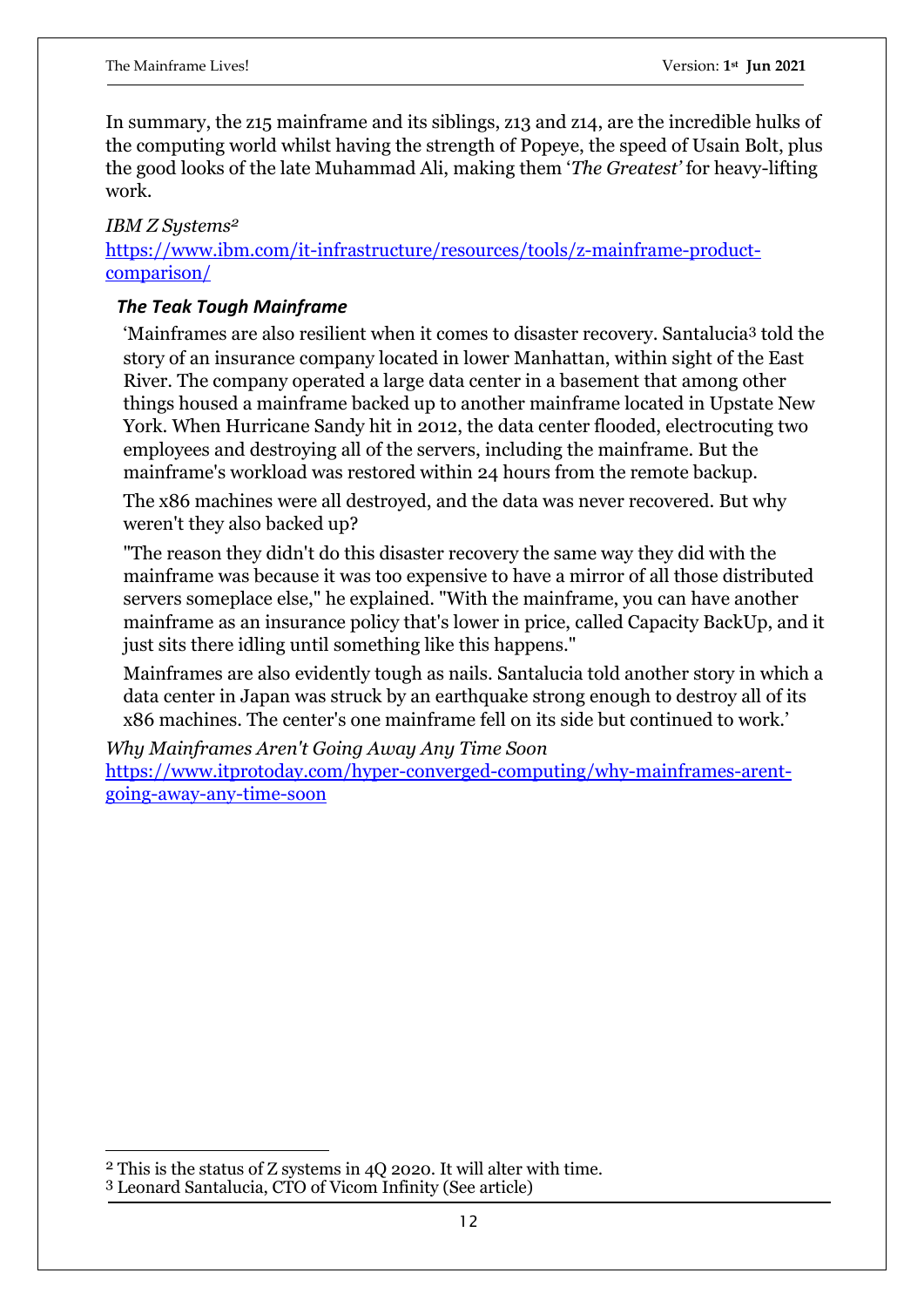In summary, the z15 mainframe and its siblings, z13 and z14, are the incredible hulks of the computing world whilst having the strength of Popeye, the speed of Usain Bolt, plus the good looks of the late Muhammad Ali, making them '*The Greatest'* for heavy-lifting work.

#### *IBM Z Systems<sup>2</sup>*

[https://www.ibm.com/it-infrastructure/resources/tools/z-mainframe-product](https://www.ibm.com/it-infrastructure/resources/tools/z-mainframe-product-comparison/)[comparison/](https://www.ibm.com/it-infrastructure/resources/tools/z-mainframe-product-comparison/)

#### *The Teak Tough Mainframe*

'Mainframes are also resilient when it comes to disaster recovery. Santalucia<sup>3</sup> told the story of an insurance company located in lower Manhattan, within sight of the East River. The company operated a large data center in a basement that among other things housed a mainframe backed up to another mainframe located in Upstate New York. When Hurricane Sandy hit in 2012, the data center flooded, electrocuting two employees and destroying all of the servers, including the mainframe. But the mainframe's workload was restored within 24 hours from the remote backup.

The x86 machines were all destroyed, and the data was never recovered. But why weren't they also backed up?

"The reason they didn't do this disaster recovery the same way they did with the mainframe was because it was too expensive to have a mirror of all those distributed servers someplace else," he explained. "With the mainframe, you can have another mainframe as an insurance policy that's lower in price, called Capacity BackUp, and it just sits there idling until something like this happens."

Mainframes are also evidently tough as nails. Santalucia told another story in which a data center in Japan was struck by an earthquake strong enough to destroy all of its x86 machines. The center's one mainframe fell on its side but continued to work.'

*Why Mainframes Aren't Going Away Any Time Soon* [https://www.itprotoday.com/hyper-converged-computing/why-mainframes-arent](https://www.itprotoday.com/hyper-converged-computing/why-mainframes-arent-going-away-any-time-soon)[going-away-any-time-soon](https://www.itprotoday.com/hyper-converged-computing/why-mainframes-arent-going-away-any-time-soon)

<sup>2</sup> This is the status of Z systems in 4Q 2020. It will alter with time.

<sup>3</sup> Leonard Santalucia, CTO of Vicom Infinity (See article)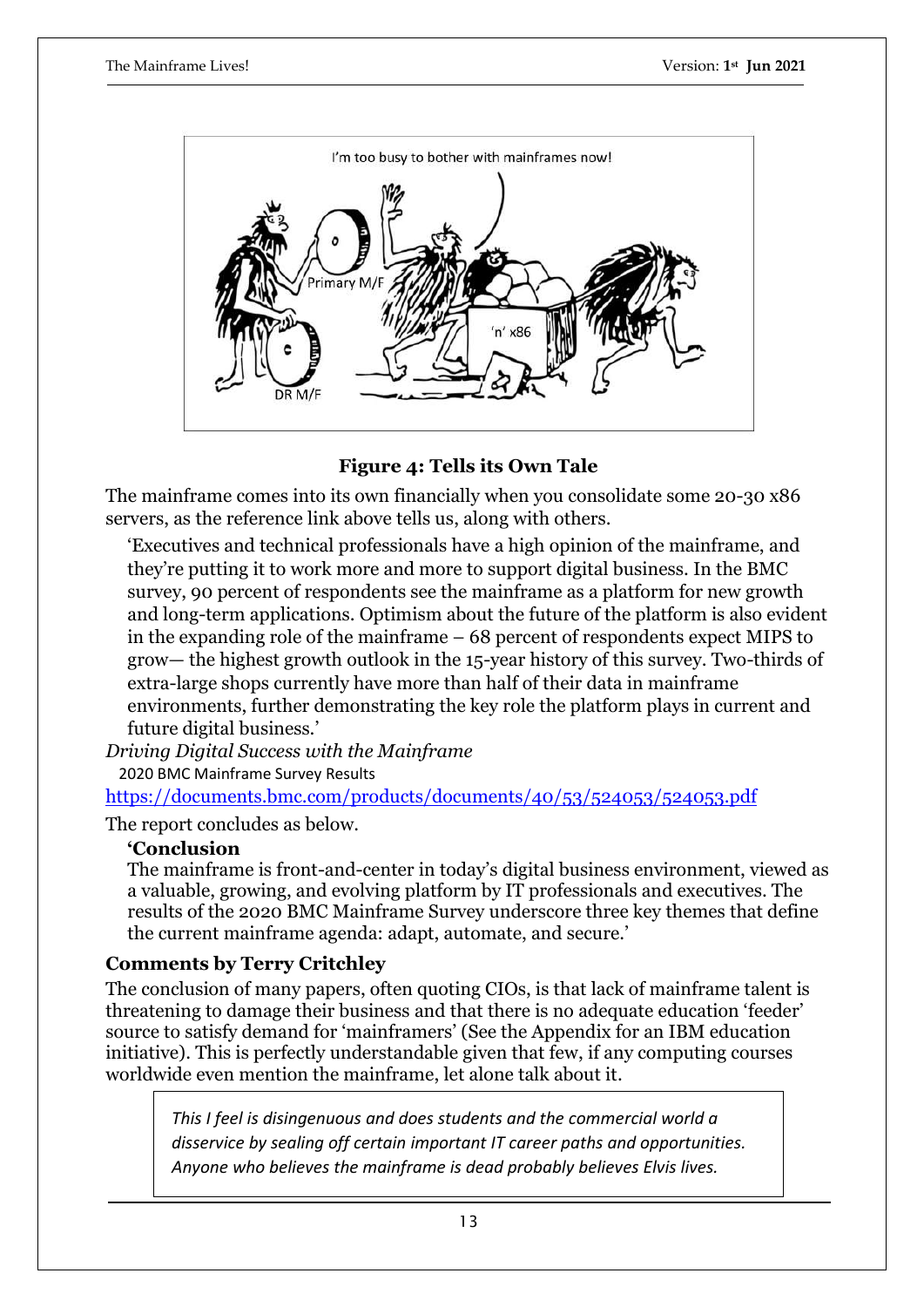

#### **Figure 4: Tells its Own Tale**

The mainframe comes into its own financially when you consolidate some 20-30 x86 servers, as the reference link above tells us, along with others.

'Executives and technical professionals have a high opinion of the mainframe, and they're putting it to work more and more to support digital business. In the BMC survey, 90 percent of respondents see the mainframe as a platform for new growth and long-term applications. Optimism about the future of the platform is also evident in the expanding role of the mainframe – 68 percent of respondents expect MIPS to grow— the highest growth outlook in the 15-year history of this survey. Two-thirds of extra-large shops currently have more than half of their data in mainframe environments, further demonstrating the key role the platform plays in current and future digital business.'

*Driving Digital Success with the Mainframe*

2020 BMC Mainframe Survey Results

<https://documents.bmc.com/products/documents/40/53/524053/524053.pdf>

The report concludes as below.

#### **'Conclusion**

The mainframe is front-and-center in today's digital business environment, viewed as a valuable, growing, and evolving platform by IT professionals and executives. The results of the 2020 BMC Mainframe Survey underscore three key themes that define the current mainframe agenda: adapt, automate, and secure.'

#### **Comments by Terry Critchley**

The conclusion of many papers, often quoting CIOs, is that lack of mainframe talent is threatening to damage their business and that there is no adequate education 'feeder' source to satisfy demand for 'mainframers' (See the Appendix for an IBM education initiative). This is perfectly understandable given that few, if any computing courses worldwide even mention the mainframe, let alone talk about it.

*This I feel is disingenuous and does students and the commercial world a disservice by sealing off certain important IT career paths and opportunities. Anyone who believes the mainframe is dead probably believes Elvis lives.*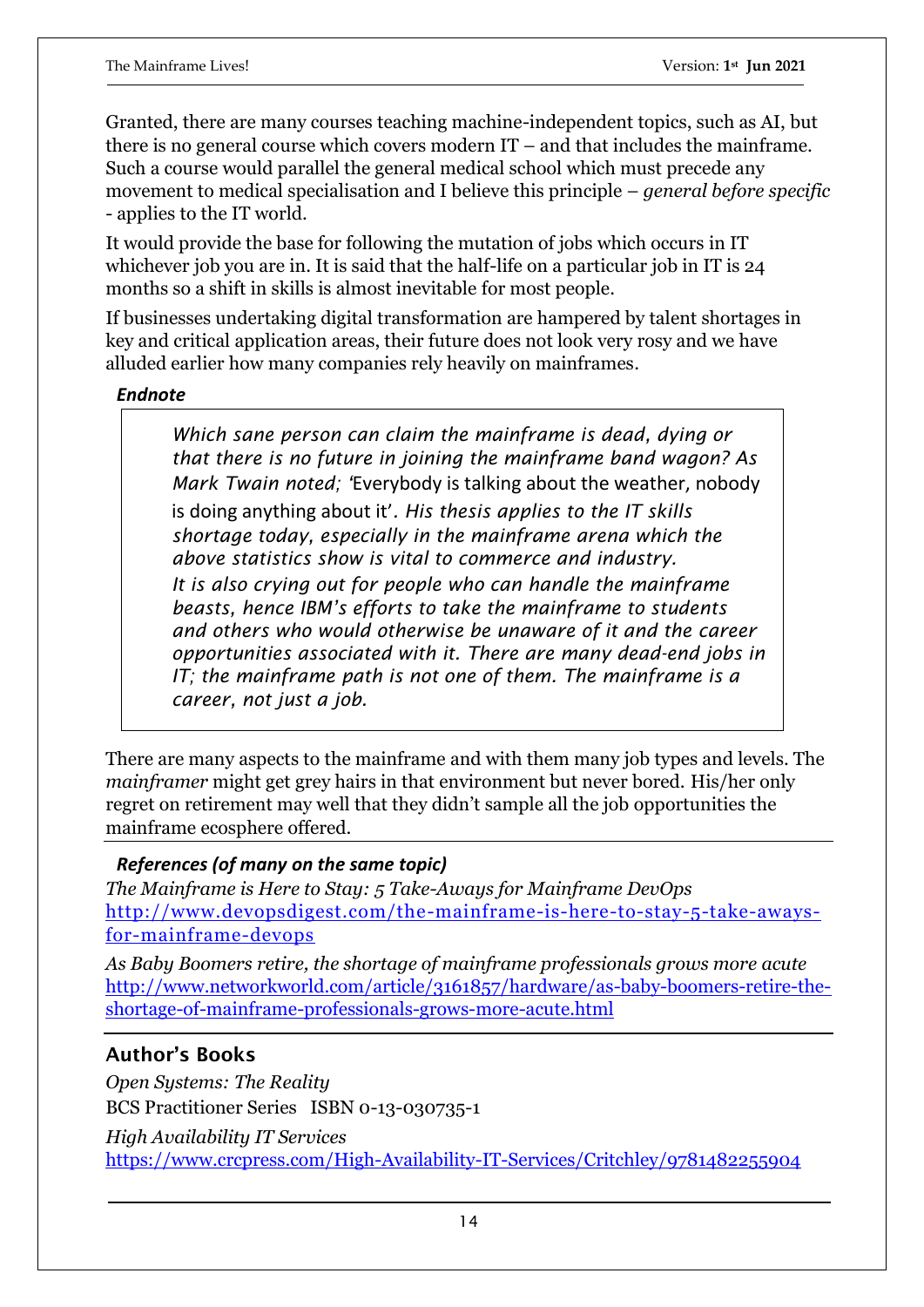Granted, there are many courses teaching machine-independent topics, such as AI, but there is no general course which covers modern IT – and that includes the mainframe. Such a course would parallel the general medical school which must precede any movement to medical specialisation and I believe this principle – *general before specific* - applies to the IT world.

It would provide the base for following the mutation of jobs which occurs in IT whichever job you are in. It is said that the half-life on a particular job in IT is 24 months so a shift in skills is almost inevitable for most people.

If businesses undertaking digital transformation are hampered by talent shortages in key and critical application areas, their future does not look very rosy and we have alluded earlier how many companies rely heavily on mainframes.

#### *Endnote*

*Which sane person can claim the mainframe is dead, dying or that there is no future in joining the mainframe band wagon? As Mark Twain noted; '*Everybody is talking about the weather, nobody is doing anything about it'*. His thesis applies to the IT skills shortage today, especially in the mainframe arena which the above statistics show is vital to commerce and industry. It is also crying out for people who can handle the mainframe beasts, hence IBM's efforts to take the mainframe to students and others who would otherwise be unaware of it and the career opportunities associated with it. There are many dead-end jobs in IT; the mainframe path is not one of them. The mainframe is a career, not just a job.*

There are many aspects to the mainframe and with them many job types and levels. The *mainframer* might get grey hairs in that environment but never bored. His/her only regret on retirement may well that they didn't sample all the job opportunities the mainframe ecosphere offered.

## *References (of many on the same topic)*

*The Mainframe is Here to Stay: 5 Take-Aways for Mainframe DevOps* [http://www.devopsdigest.com/the-mainframe-is-here-to-stay-5-take-aways](http://www.devopsdigest.com/the-mainframe-is-here-to-stay-5-take-aways-for-mainframe-devops)[for-mainframe-devops](http://www.devopsdigest.com/the-mainframe-is-here-to-stay-5-take-aways-for-mainframe-devops)

*As Baby Boomers retire, the shortage of mainframe professionals grows more acute*  [http://www.networkworld.com/article/3161857/hardware/as-baby-boomers-retire-the](http://www.networkworld.com/article/3161857/hardware/as-baby-boomers-retire-the-shortage-of-mainframe-professionals-grows-more-acute.html)[shortage-of-mainframe-professionals-grows-more-acute.html](http://www.networkworld.com/article/3161857/hardware/as-baby-boomers-retire-the-shortage-of-mainframe-professionals-grows-more-acute.html)

## **Author's Books**

*Open Systems: The Reality*  BCS Practitioner Series ISBN 0-13-030735-1 *High Availability IT Services*  <https://www.crcpress.com/High-Availability-IT-Services/Critchley/9781482255904>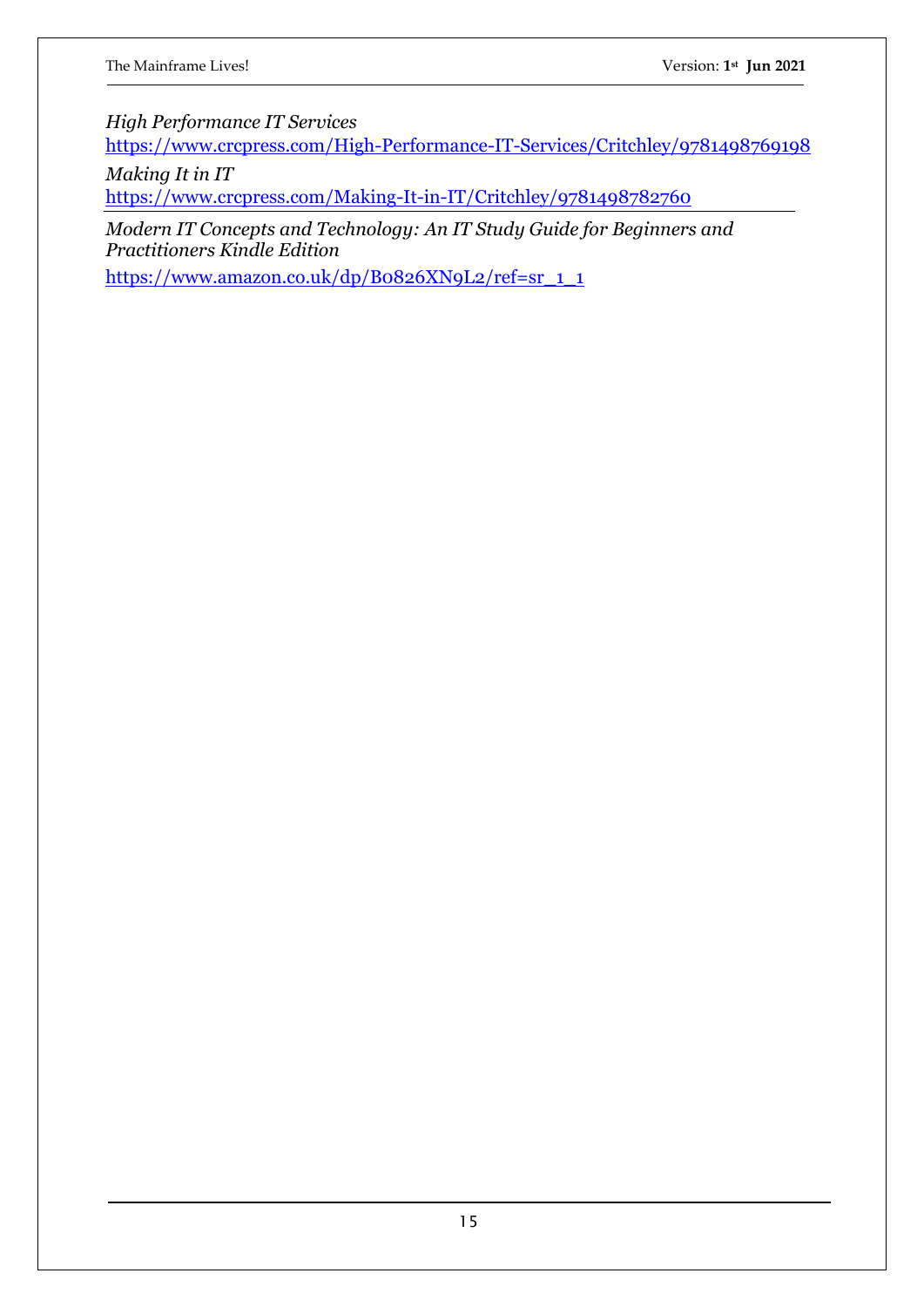*High Performance IT Services* 

<https://www.crcpress.com/High-Performance-IT-Services/Critchley/9781498769198>

*Making It in IT* 

<https://www.crcpress.com/Making-It-in-IT/Critchley/9781498782760>

*Modern IT Concepts and Technology: An IT Study Guide for Beginners and Practitioners Kindle Edition*

[https://www.amazon.co.uk/dp/B0826XN9L2/ref=sr\\_1\\_1](https://www.amazon.co.uk/dp/B0826XN9L2/ref=sr_1_1)